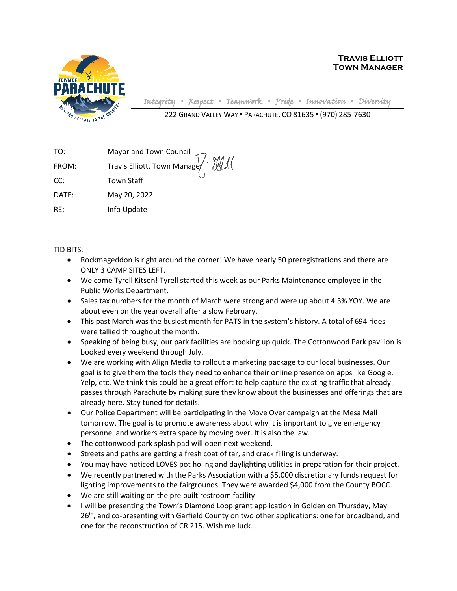

Integrity **▪** Respect **▪** Teamwork **▪** Pride **▪** Innovation **▪** Diversity

222 GRAND VALLEY WAY ▪ PARACHUTE, CO 81635 ▪ (970) 285-7630

| TO:   |                                                        |
|-------|--------------------------------------------------------|
| FROM: | Mayor and Town Council<br>Travis Elliott, Town Manager |
| CC:   | <b>Town Staff</b>                                      |
| DATE: | May 20, 2022                                           |
| RE:   | Info Update                                            |

TID BITS:

- Rockmageddon is right around the corner! We have nearly 50 preregistrations and there are ONLY 3 CAMP SITES LEFT.
- Welcome Tyrell Kitson! Tyrell started this week as our Parks Maintenance employee in the Public Works Department.
- Sales tax numbers for the month of March were strong and were up about 4.3% YOY. We are about even on the year overall after a slow February.
- This past March was the busiest month for PATS in the system's history. A total of 694 rides were tallied throughout the month.
- Speaking of being busy, our park facilities are booking up quick. The Cottonwood Park pavilion is booked every weekend through July.
- We are working with Align Media to rollout a marketing package to our local businesses. Our goal is to give them the tools they need to enhance their online presence on apps like Google, Yelp, etc. We think this could be a great effort to help capture the existing traffic that already passes through Parachute by making sure they know about the businesses and offerings that are already here. Stay tuned for details.
- Our Police Department will be participating in the Move Over campaign at the Mesa Mall tomorrow. The goal is to promote awareness about why it is important to give emergency personnel and workers extra space by moving over. It is also the law.
- The cottonwood park splash pad will open next weekend.
- Streets and paths are getting a fresh coat of tar, and crack filling is underway.
- You may have noticed LOVES pot holing and daylighting utilities in preparation for their project.
- We recently partnered with the Parks Association with a \$5,000 discretionary funds request for lighting improvements to the fairgrounds. They were awarded \$4,000 from the County BOCC.
- We are still waiting on the pre built restroom facility
- I will be presenting the Town's Diamond Loop grant application in Golden on Thursday, May 26<sup>th</sup>, and co-presenting with Garfield County on two other applications: one for broadband, and one for the reconstruction of CR 215. Wish me luck.